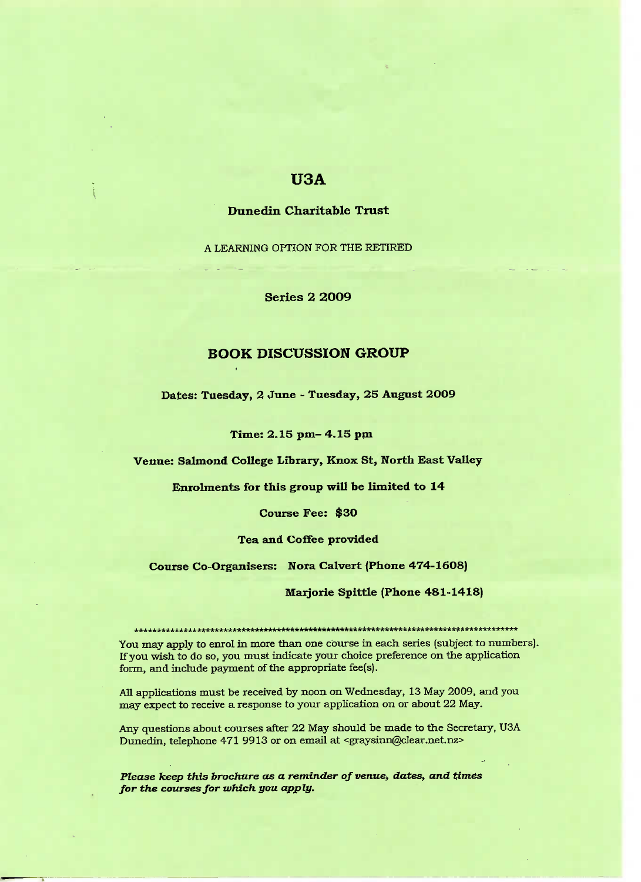# **USA**

### Dune din **Charitable Trust**

A LEARNING **OPTION FOR THE RETIRED**

**Series 2 2O09**

## **BOOK DISCUSSION GROUP**

**Dates: Tuesday, 2 June - Tuesday, 25 August 2O09**

**Time: 2.15 pm- 4.15 pm**

**Venue: Salmond College Library, Knox St, North East Valley**

**Enrolments for this group will be limited to 14**

**Course Fee: \$3O**

**Tea and Coffee provided**

**Course Co-Organisers: Nora Calvert (Phone 474-1608)**

**Marjorie Spittle (Phone 481-1418)**

\*\*\*\*\*\*\*\*\*\*\*\*\*\*\*\*\*\*\*\*\*\*\*\*\*\*\*\*\*\*\*\*\*\*\*\*\*\*\*\*\*\*\*\*\*\*\*\*\*\*\*\*\*\*\*\*\*\*\*\*\*\*\*\*\*\*\*\*\* You may apply to enrol in more than one course in each series (subject to numbers). If you wish to do so, you must indicate your choice preference on the application form, and include payment of the appropriate fee(s).

All applications must be received by noon on Wednesday, 13 May 2009, and you may expect to receive a response to your application on or about 22 May.

Any questions about courses after 22 May should be made to the Secretary, USA Dunedin, telephone 471 9913 or on email at <graysinn@clear.net.nz>

*Please keep this brochure as a reminder of venue, dates, and times for the courses for which you apply.*